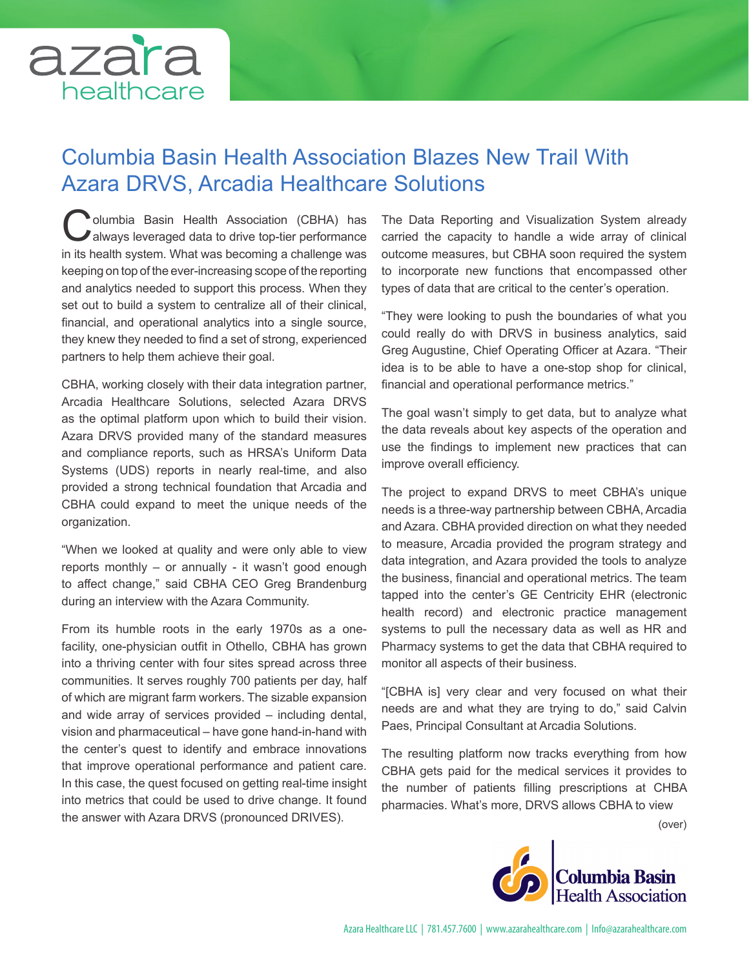

## Columbia Basin Health Association Blazes New Trail With Azara DRVS, Arcadia Healthcare Solutions

Columbia Basin Health Association (CBHA) has always leveraged data to drive top-tier performance in its health system. What was becoming a challenge was keeping on top of the ever-increasing scope of the reporting and analytics needed to support this process. When they set out to build a system to centralize all of their clinical, financial, and operational analytics into a single source, they knew they needed to find a set of strong, experienced partners to help them achieve their goal.

CBHA, working closely with their data integration partner, Arcadia Healthcare Solutions, selected Azara DRVS as the optimal platform upon which to build their vision. Azara DRVS provided many of the standard measures and compliance reports, such as HRSA's Uniform Data Systems (UDS) reports in nearly real-time, and also provided a strong technical foundation that Arcadia and CBHA could expand to meet the unique needs of the organization.

"When we looked at quality and were only able to view reports monthly – or annually - it wasn't good enough to affect change," said CBHA CEO Greg Brandenburg during an interview with the Azara Community.

From its humble roots in the early 1970s as a onefacility, one-physician outfit in Othello, CBHA has grown into a thriving center with four sites spread across three communities. It serves roughly 700 patients per day, half of which are migrant farm workers. The sizable expansion and wide array of services provided – including dental, vision and pharmaceutical – have gone hand-in-hand with the center's quest to identify and embrace innovations that improve operational performance and patient care. In this case, the quest focused on getting real-time insight into metrics that could be used to drive change. It found the answer with Azara DRVS (pronounced DRIVES).

The Data Reporting and Visualization System already carried the capacity to handle a wide array of clinical outcome measures, but CBHA soon required the system to incorporate new functions that encompassed other types of data that are critical to the center's operation.

"They were looking to push the boundaries of what you could really do with DRVS in business analytics, said Greg Augustine, Chief Operating Officer at Azara. "Their idea is to be able to have a one-stop shop for clinical, financial and operational performance metrics."

The goal wasn't simply to get data, but to analyze what the data reveals about key aspects of the operation and use the findings to implement new practices that can improve overall efficiency.

The project to expand DRVS to meet CBHA's unique needs is a three-way partnership between CBHA, Arcadia and Azara. CBHA provided direction on what they needed to measure, Arcadia provided the program strategy and data integration, and Azara provided the tools to analyze the business, financial and operational metrics. The team tapped into the center's GE Centricity EHR (electronic health record) and electronic practice management systems to pull the necessary data as well as HR and Pharmacy systems to get the data that CBHA required to monitor all aspects of their business.

"[CBHA is] very clear and very focused on what their needs are and what they are trying to do," said Calvin Paes, Principal Consultant at Arcadia Solutions.

The resulting platform now tracks everything from how CBHA gets paid for the medical services it provides to the number of patients filling prescriptions at CHBA pharmacies. What's more, DRVS allows CBHA to view

(over)